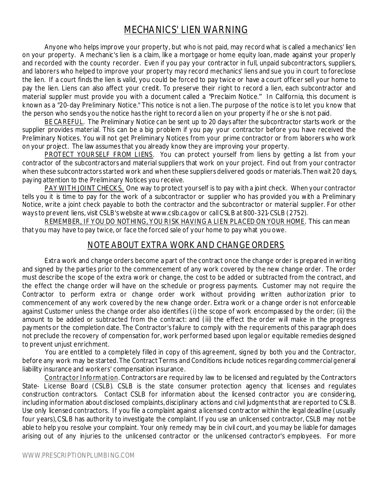## MECHANICS' L IEN WARNING

Anyone who helps improve your property , but who is not paid, may record what is called a mechanics' lien on your property. A mechanic's lien is a claim, like a mortgage or home equity loan, made against your properly and recorded with the county recorder. Even if you pay your contractor in full, unpaid subcontractors, suppliers, and laborers who helped to improve your property may record mechanics' liens and sue you in court to foreclose the lien. If a court finds the lien is valid, you could be forced to pay twice or have a court officer sell your home to pay the lien. Liens can also affect your credit. To preserve their right to record a lien, each subcontractor and material supplier must provide you with a document called a "Preclaim Notice." In California, this document is known as a "20-day Preliminary Notice." This notice is not a lien. The purpose of the notice is to let you know that the person who sends you the notice hasthe right to record a lien on your property if he or she is not paid.

BE CAREFUL. The Preliminary Notice can be sent up to 20 day s after the subcontractor starts work or the supplier provides material. This can be a big problem if you pay your contractor before you have received the Preliminary Notices. You will not get Preliminary Notices from your prime contractor or from laborers who work on your project. The law assumes that you already know they are improving your property.

PROTECT YOUR SELF FROM LIENS. You can protect yourself from liens by getting a list from your contractor of the subcontractors and material suppliers that work on your project. Find out from your contractor when these subcontractors started work and when these suppliers delivered goods or materials. Then wait 20 days, pay ing attention to the Preliminary Notices you receive.

PAY WIT H JOINT CHECK S. One way to protect yourself is to pay with a joint check. When your contractor tells you it is time to pay for the work of a subcontractor or supplier who has provided you with a Preliminary Notice, write a joint check payable to both the contractor and the subcontractor or material supplier. For other way sto prevent liens, visit CSLB's website at www.cslb.ca.gov or callCSL B at 800-321-CSLB (2752).

R EMEMBER, IF YOU DO NOT HING, YOU R ISK HAVING A LIEN PL ACED ON YOUR HOME. This can mean that you may have to pay twice, or face the forced sale of your home to pay what you owe.

## NOTE ABOUT EXTRA WORK AND CHANGE ORDERS

Extra work and change orders become a part of the contract once the change order is prepared in writing and signed by the parties prior to the commencement of any work covered by the new change order. The order must describe the scope of the extra work or change, the cost to be added or subtracted from the contract, and the effect the change order will have on the schedule or progress payments. Customer may not require the Contractor to perform extra or change order work without providing written authorization prior to commencement of any work covered by the new change order. Extra work or a change order is not enforceable against Customer unless the change order also identifies (i) the scope of work encompassed by the order; (ii) the amount to be added or subtracted from the contract: and (iii) the effect the order will make in the progress payments or the completion date. The Contractor'sfailure to comply with the requirements of this paragraph does not preclude the recovery of compensation for, work performed based upon legalor equitable remedies designed to prevent unjust enrichment.

You are entitled to a completely filled in copy of this agreement, signed by both you and the Contractor, before any work may be started.The Contract Terms and Conditions include notices regarding commercial general liability insurance and workers' compensation insurance.

Contractor Information. Contractors are required by law to be licensed and regulated by the Contractors State- License Board (CSLB). CSLB is the state consumer protection agency that licenses and regulates construction contractors. Contact CSLB for information about the licensed contractor you are considering, including information about disclosed complaints, disciplinary actions and civil judgments that are reported to CSLB. Use only licensed contractors. If you file a complaint against a licensed contractor within the legal deadline (usually four years),CSL B has authority to investigate the complaint. If you use an unlicensed contractor, CSLB may not be able to help you resolve your complaint. Your only remedy may be in civil court, and you may be liable for damages arising out of any injuries to the unlicensed contractor or the unlicensed contractor's employees. For more